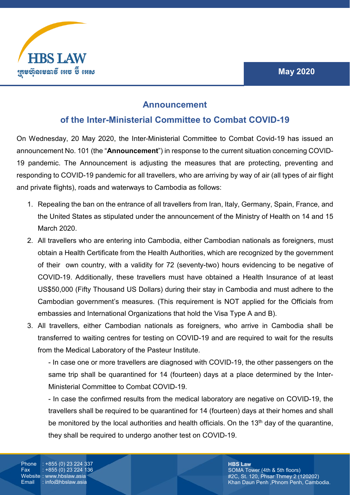

## **Announcement**

## **of the Inter-Ministerial Committee to Combat COVID-19**

On Wednesday, 20 May 2020, the Inter-Ministerial Committee to Combat Covid-19 has issued an announcement No. 101 (the "**Announcement**") in response to the current situation concerning COVID-19 pandemic. The Announcement is adjusting the measures that are protecting, preventing and responding to COVID-19 pandemic for all travellers, who are arriving by way of air (all types of air flight and private flights), roads and waterways to Cambodia as follows:

- 1. Repealing the ban on the entrance of all travellers from Iran, Italy, Germany, Spain, France, and the United States as stipulated under the announcement of the Ministry of Health on 14 and 15 March 2020.
- 2. All travellers who are entering into Cambodia, either Cambodian nationals as foreigners, must obtain a Health Certificate from the Health Authorities, which are recognized by the government of their own country, with a validity for 72 (seventy-two) hours evidencing to be negative of COVID-19. Additionally, these travellers must have obtained a Health Insurance of at least US\$50,000 (Fifty Thousand US Dollars) during their stay in Cambodia and must adhere to the Cambodian government's measures. (This requirement is NOT applied for the Officials from embassies and International Organizations that hold the Visa Type A and B).
- 3. All travellers, either Cambodian nationals as foreigners, who arrive in Cambodia shall be transferred to waiting centres for testing on COVID-19 and are required to wait for the results from the Medical Laboratory of the Pasteur Institute.

- In case one or more travellers are diagnosed with COVID-19, the other passengers on the same trip shall be quarantined for 14 (fourteen) days at a place determined by the Inter-Ministerial Committee to Combat COVID-19.

- In case the confirmed results from the medical laboratory are negative on COVID-19, the travellers shall be required to be quarantined for 14 (fourteen) days at their homes and shall be monitored by the local authorities and health officials. On the 13<sup>th</sup> day of the quarantine, they shall be required to undergo another test on COVID-19.

Phone : +855 (0) 23 224 337 Fax : +855 (0) 23 224 136 Website : www.hbslaw.asia<br>Email : info@hbslaw.asia  $:$  info@hbslaw.asia

**HBS Law** SOMA Tower (4th & 5th floors) #2C, St. 120, Phsar Thmey 2 (120202) Khan Daun Penh ,Phnom Penh, Cambodia.